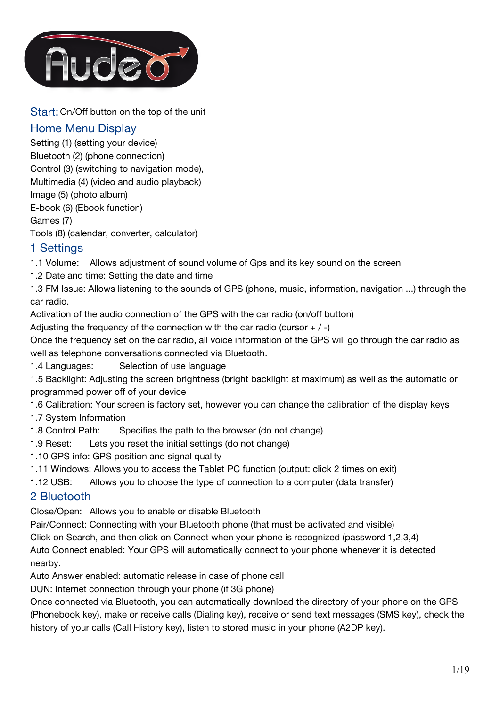

Start:On/Off button on the top of the unit

# Home Menu Display

Setting (1) (setting your device) Bluetooth (2) (phone connection) Control (3) (switching to navigation mode), Multimedia (4) (video and audio playback) Image (5) (photo album) E-book (6) (Ebook function) Games (7) Tools (8) (calendar, converter, calculator)

1 Settings

1.1 Volume: Allows adjustment of sound volume of Gps and its key sound on the screen

1.2 Date and time: Setting the date and time

1.3 FM Issue: Allows listening to the sounds of GPS (phone, music, information, navigation ...) through the car radio.

Activation of the audio connection of the GPS with the car radio (on/off button)

Adjusting the frequency of the connection with the car radio (cursor  $+$  / -)

Once the frequency set on the car radio, all voice information of the GPS will go through the car radio as well as telephone conversations connected via Bluetooth.

1.4 Languages: Selection of use language

1.5 Backlight: Adjusting the screen brightness (bright backlight at maximum) as well as the automatic or programmed power off of your device

1.6 Calibration: Your screen is factory set, however you can change the calibration of the display keys

1.7 System Information

1.8 Control Path: Specifies the path to the browser (do not change)

1.9 Reset: Lets you reset the initial settings (do not change)

1.10 GPS info: GPS position and signal quality

1.11 Windows: Allows you to access the Tablet PC function (output: click 2 times on exit)

1.12 USB: Allows you to choose the type of connection to a computer (data transfer)

# 2 Bluetooth

Close/Open: Allows you to enable or disable Bluetooth

Pair/Connect: Connecting with your Bluetooth phone (that must be activated and visible)

Click on Search, and then click on Connect when your phone is recognized (password 1,2,3,4)

Auto Connect enabled: Your GPS will automatically connect to your phone whenever it is detected nearby.

Auto Answer enabled: automatic release in case of phone call

DUN: Internet connection through your phone (if 3G phone)

Once connected via Bluetooth, you can automatically download the directory of your phone on the GPS (Phonebook key), make or receive calls (Dialing key), receive or send text messages (SMS key), check the history of your calls (Call History key), listen to stored music in your phone (A2DP key).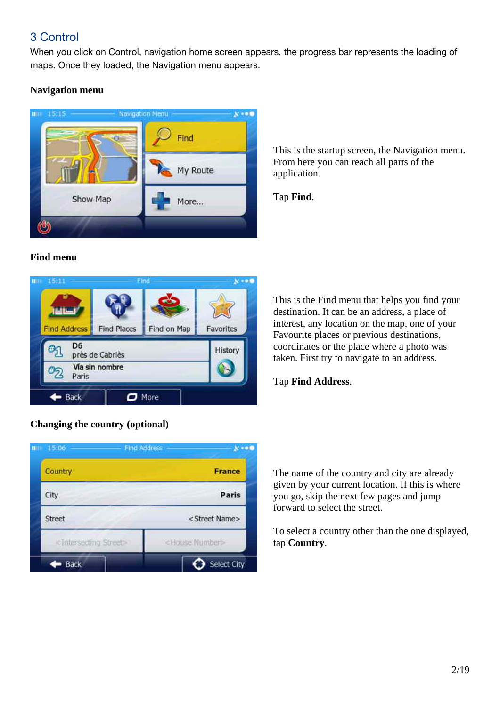# 3 Control

When you click on Control, navigation home screen appears, the progress bar represents the loading of maps. Once they loaded, the Navigation menu appears.

# **Navigation menu**



This is the startup screen, the Navigation menu. From here you can reach all parts of the application.

Tap **Find**.

# **Find menu**



# **Changing the country (optional)**

IIII 15:06 Find Address  $$ Country **France** City Paris Street <Street Name> <House Number> <Intersecting Street>  $\leftarrow$  Back Select City

This is the Find menu that helps you find your destination. It can be an address, a place of interest, any location on the map, one of your Favourite places or previous destinations, coordinates or the place where a photo was taken. First try to navigate to an address.

Tap **Find Address**.

The name of the country and city are already given by your current location. If this is where you go, skip the next few pages and jump forward to select the street.

To select a country other than the one displayed, tap **Country**.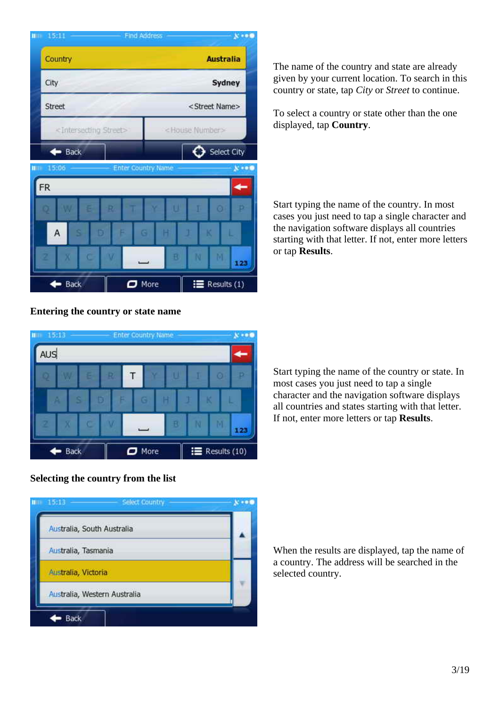| 15.11<br><b>HID</b> |                                         | Find Address              |      |                           | $x + 0$     |
|---------------------|-----------------------------------------|---------------------------|------|---------------------------|-------------|
|                     | Country                                 |                           |      | <b>Australia</b>          |             |
| City                |                                         |                           |      |                           | Sydney      |
| Street              |                                         |                           |      | <street name=""></street> |             |
|                     | <intersecting street=""></intersecting> |                           |      | <house number=""></house> |             |
|                     | $\bullet$ Back                          |                           |      |                           | Select City |
| <b>HID</b>          | 15:06                                   | <b>Enter Country Name</b> |      |                           | $x + 0$     |
| FR                  |                                         |                           |      |                           |             |
|                     | е                                       | R                         |      | $\circ$                   |             |
| Α                   |                                         | $\mathbf G$<br>D          |      |                           |             |
|                     | Ċ<br>z                                  |                           | B    | N<br>м                    | 123         |
|                     | Back                                    | o                         | More | ≡                         | Results (1) |

The name of the country and state are already given by your current location. To search in this country or state, tap *City* or *Street* to continue.

To select a country or state other than the one displayed, tap **Country**.

Start typing the name of the country. In most cases you just need to tap a single character and the navigation software displays all countries starting with that letter. If not, enter more letters or tap **Results**.

#### **Entering the country or state name**



Start typing the name of the country or state. In most cases you just need to tap a single character and the navigation software displays all countries and states starting with that letter. If not, enter more letters or tap **Results**.

#### **Selecting the country from the list**



When the results are displayed, tap the name of a country. The address will be searched in the selected country.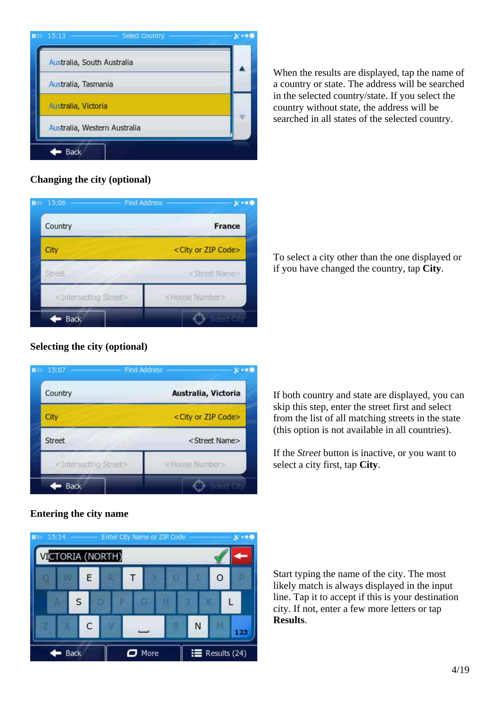

When the results are displayed, tap the name of a country or state. The address will be searched in the selected country/state. If you select the country without state, the address will be searched in all states of the selected country.

#### **Changing the city (optional)**



 To select a city other than the one displayed or if you have changed the country, tap **City**.

#### **Selecting the city (optional)**



If both country and state are displayed, you can skip this step, enter the street first and select from the list of all matching streets in the state (this option is not available in all countries).

If the *Street* button is inactive, or you want to select a city first, tap **City**.

# **Entering the city name**



Start typing the name of the city. The most likely match is always displayed in the input line. Tap it to accept if this is your destination city. If not, enter a few more letters or tap **Results**.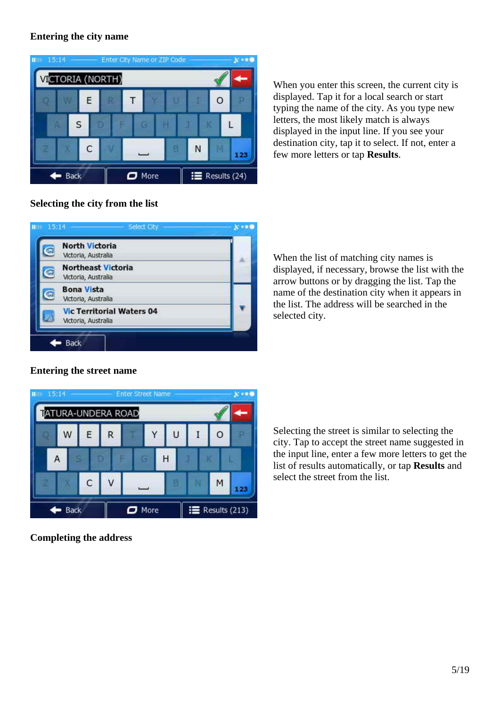#### **Entering the city name**

| 15.14<br>ш |             |   |                         |   |                          | Enter City Name or ZIP Code |   |                  | $\mathbf{v}$ |
|------------|-------------|---|-------------------------|---|--------------------------|-----------------------------|---|------------------|--------------|
|            |             |   | <b>VICTORIA (NORTH)</b> |   |                          |                             |   |                  |              |
|            |             | Ε |                         | Τ |                          |                             |   | O                |              |
|            |             | S |                         |   | œ                        |                             |   |                  |              |
|            |             | C |                         |   | $\overline{\phantom{0}}$ | H                           | N |                  | 123          |
|            | <b>Back</b> |   |                         |   | $\Box$ More              |                             |   | $R$ Results (24) |              |

When you enter this screen, the current city is displayed. Tap it for a local search or start typing the name of the city. As you type new letters, the most likely match is always displayed in the input line. If you see your destination city, tap it to select. If not, enter a few more letters or tap **Results**.

#### **Selecting the city from the list**



When the list of matching city names is displayed, if necessary, browse the list with the arrow buttons or by dragging the list. Tap the name of the destination city when it appears in the list. The address will be searched in the selected city.



#### **Entering the street name**

Selecting the street is similar to selecting the city. Tap to accept the street name suggested in the input line, enter a few more letters to get the list of results automatically, or tap **Results** and select the street from the list.

**Completing the address**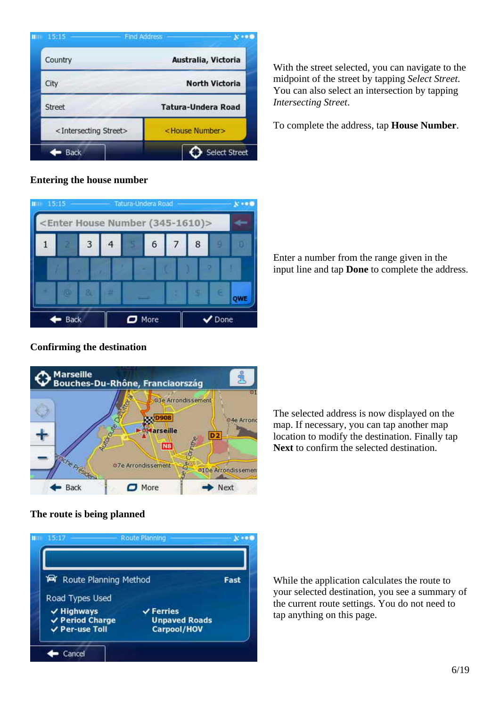| ш | 15.15                                   | <b>Find Address</b>       |
|---|-----------------------------------------|---------------------------|
|   | Country                                 | Australia, Victoria       |
|   | City                                    | <b>North Victoria</b>     |
|   | <b>Street</b>                           | <b>Tatura-Undera Road</b> |
|   | <intersecting street=""></intersecting> | <house number=""></house> |
|   | Back                                    | Select Street             |

#### **Entering the house number**



#### With the street selected, you can navigate to the midpoint of the street by tapping *Select Street*. You can also select an intersection by tapping *Intersecting Street*.

To complete the address, tap **House Number**.

 Enter a number from the range given in the input line and tap **Done** to complete the address.

## **Confirming the destination**



The selected address is now displayed on the map. If necessary, you can tap another map location to modify the destination. Finally tap **Next** to confirm the selected destination.

## **The route is being planned**



While the application calculates the route to your selected destination, you see a summary of the current route settings. You do not need to tap anything on this page.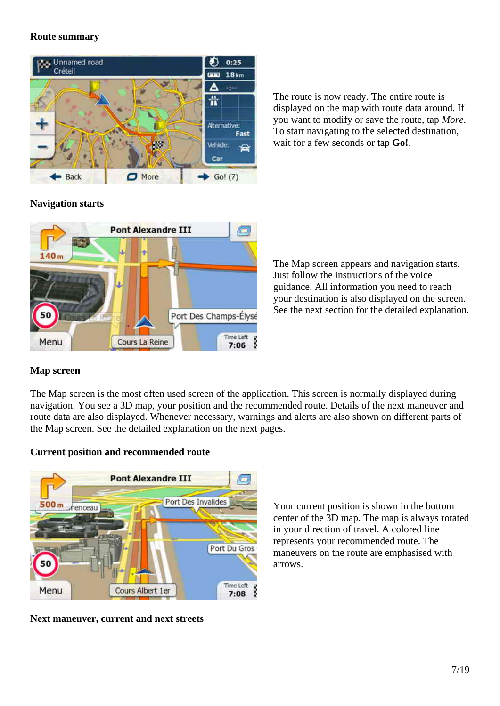#### **Route summary**



The route is now ready. The entire route is displayed on the map with route data around. If you want to modify or save the route, tap *More*. To start navigating to the selected destination, wait for a few seconds or tap **Go!**.

#### **Navigation starts**



The Map screen appears and navigation starts. Just follow the instructions of the voice guidance. All information you need to reach your destination is also displayed on the screen. See the next section for the detailed explanation.

## **Map screen**

The Map screen is the most often used screen of the application. This screen is normally displayed during navigation. You see a 3D map, your position and the recommended route. Details of the next maneuver and route data are also displayed. Whenever necessary, warnings and alerts are also shown on different parts of the Map screen. See the detailed explanation on the next pages.

#### **Current position and recommended route**



**Next maneuver, current and next streets**

Your current position is shown in the bottom center of the 3D map. The map is always rotated in your direction of travel. A colored line represents your recommended route. The maneuvers on the route are emphasised with arrows.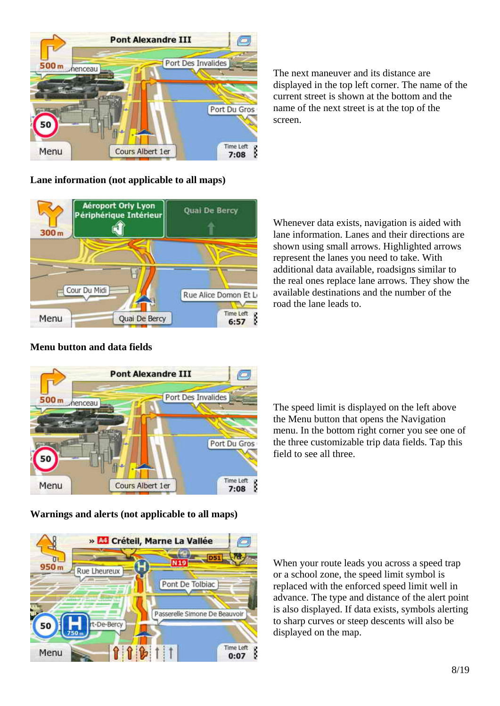

The next maneuver and its distance are displayed in the top left corner. The name of the current street is shown at the bottom and the name of the next street is at the top of the screen.

#### **Lane information (not applicable to all maps)**



Whenever data exists, navigation is aided with lane information. Lanes and their directions are shown using small arrows. Highlighted arrows represent the lanes you need to take. With additional data available, roadsigns similar to the real ones replace lane arrows. They show the available destinations and the number of the road the lane leads to.

# **Pont Alexandre III** Port Des Invalides 500<sub>m</sub> henceau Port Du Gros Time Left **Cours Albert 1er** Menu  $7:08$

**Menu button and data fields**

**Warnings and alerts (not applicable to all maps)**



When your route leads you across a speed trap or a school zone, the speed limit symbol is replaced with the enforced speed limit well in advance. The type and distance of the alert point is also displayed. If data exists, symbols alerting to sharp curves or steep descents will also be displayed on the map.

The speed limit is displayed on the left above the Menu button that opens the Navigation menu. In the bottom right corner you see one of the three customizable trip data fields. Tap this field to see all three.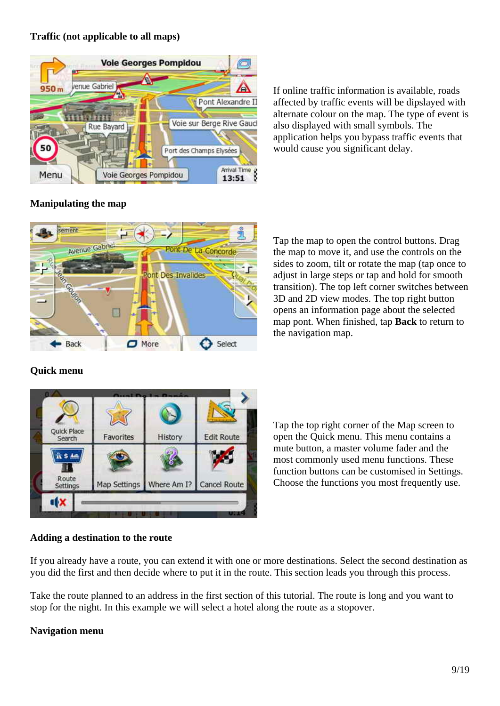#### **Traffic (not applicable to all maps)**



If online traffic information is available, roads affected by traffic events will be dipslayed with alternate colour on the map. The type of event is also displayed with small symbols. The application helps you bypass traffic events that would cause you significant delay.

## **Manipulating the map**



Tap the map to open the control buttons. Drag the map to move it, and use the controls on the sides to zoom, tilt or rotate the map (tap once to adjust in large steps or tap and hold for smooth transition). The top left corner switches between 3D and 2D view modes. The top right button opens an information page about the selected map pont. When finished, tap **Back** to return to the navigation map.

## **Quick menu**



Tap the top right corner of the Map screen to open the Quick menu. This menu contains a mute button, a master volume fader and the most commonly used menu functions. These function buttons can be customised in Settings. Choose the functions you most frequently use.

#### **Adding a destination to the route**

If you already have a route, you can extend it with one or more destinations. Select the second destination as you did the first and then decide where to put it in the route. This section leads you through this process.

Take the route planned to an address in the first section of this tutorial. The route is long and you want to stop for the night. In this example we will select a hotel along the route as a stopover.

#### **Navigation menu**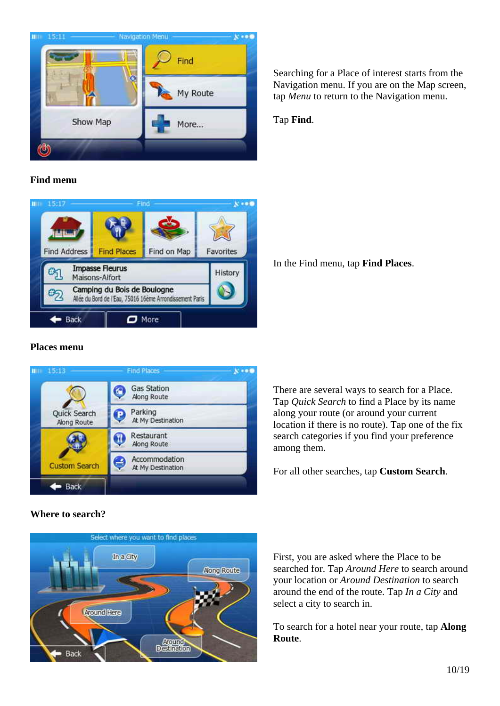

**Find menu**



#### **Places menu**



**Where to search?**



Searching for a Place of interest starts from the Navigation menu. If you are on the Map screen, tap *Menu* to return to the Navigation menu.

Tap **Find**.

In the Find menu, tap **Find Places**.

There are several ways to search for a Place. Tap *Quick Search* to find a Place by its name along your route (or around your current location if there is no route). Tap one of the fix search categories if you find your preference among them.

For all other searches, tap **Custom Search**.

First, you are asked where the Place to be searched for. Tap *Around Here* to search around your location or *Around Destination* to search around the end of the route. Tap *In a City* and select a city to search in.

To search for a hotel near your route, tap **Along Route**.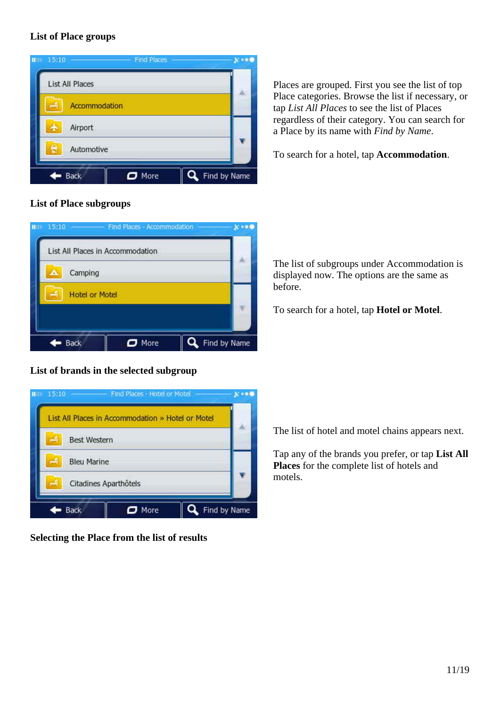#### **List of Place groups**



#### **List of Place subgroups**

|                      | List All Places in Accommodation |  |
|----------------------|----------------------------------|--|
| Camping<br>$\bullet$ |                                  |  |
|                      | <b>Hotel or Motel</b>            |  |
|                      |                                  |  |

## **List of brands in the selected subgroup**



**Selecting the Place from the list of results**

Places are grouped. First you see the list of top Place categories. Browse the list if necessary, or tap *List All Places* to see the list of Places regardless of their category. You can search for a Place by its name with *Find by Name*.

To search for a hotel, tap **Accommodation**.

The list of subgroups under Accommodation is displayed now. The options are the same as before.

To search for a hotel, tap **Hotel or Motel**.

The list of hotel and motel chains appears next.

Tap any of the brands you prefer, or tap **List All Places** for the complete list of hotels and motels.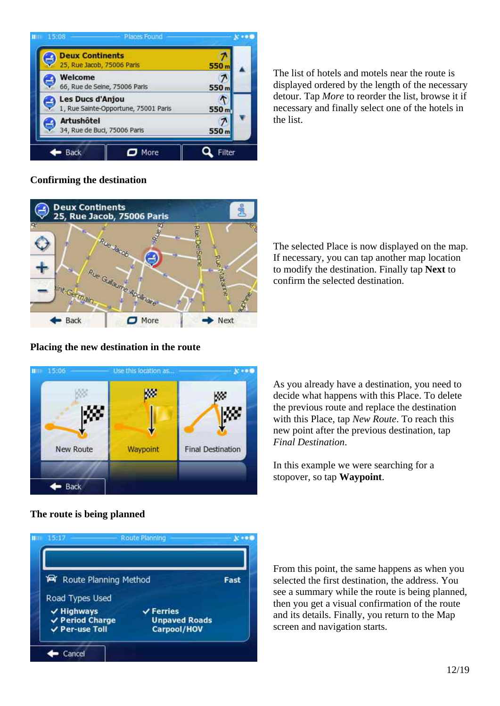

The list of hotels and motels near the route is displayed ordered by the length of the necessary detour. Tap *More* to reorder the list, browse it if necessary and finally select one of the hotels in the list.

#### **Confirming the destination**



The selected Place is now displayed on the map. If necessary, you can tap another map location to modify the destination. Finally tap **Next** to confirm the selected destination.

#### **Placing the new destination in the route**



As you already have a destination, you need to decide what happens with this Place. To delete the previous route and replace the destination with this Place, tap *New Route*. To reach this new point after the previous destination, tap *Final Destination*.

In this example we were searching for a stopover, so tap **Waypoint**.

#### **The route is being planned**



From this point, the same happens as when you selected the first destination, the address. You see a summary while the route is being planned, then you get a visual confirmation of the route and its details. Finally, you return to the Map screen and navigation starts.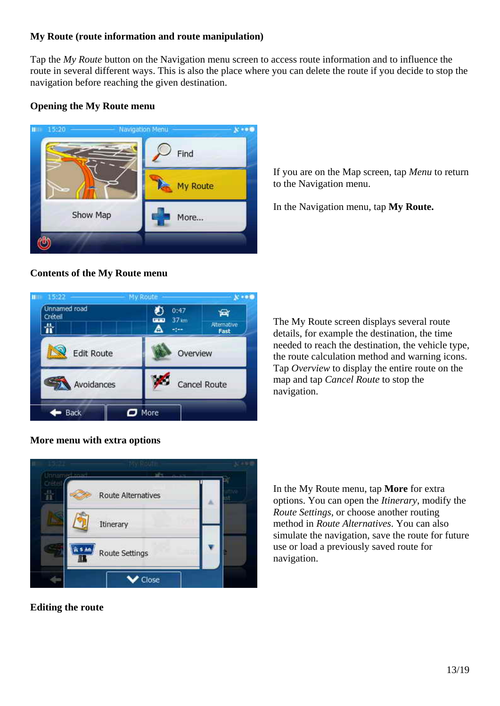#### **My Route (route information and route manipulation)**

Tap the *My Route* button on the Navigation menu screen to access route information and to influence the route in several different ways. This is also the place where you can delete the route if you decide to stop the navigation before reaching the given destination.

#### **Opening the My Route menu**



If you are on the Map screen, tap *Menu* to return to the Navigation menu.

In the Navigation menu, tap **My Route.**



#### **Contents of the My Route menu**

The My Route screen displays several route details, for example the destination, the time needed to reach the destination, the vehicle type, the route calculation method and warning icons. Tap *Overview* to display the entire route on the map and tap *Cancel Route* to stop the navigation.

#### **More menu with extra options**



**Editing the route**

In the My Route menu, tap **More** for extra options. You can open the *Itinerary*, modify the *Route Settings*, or choose another routing method in *Route Alternatives*. You can also simulate the navigation, save the route for future use or load a previously saved route for navigation.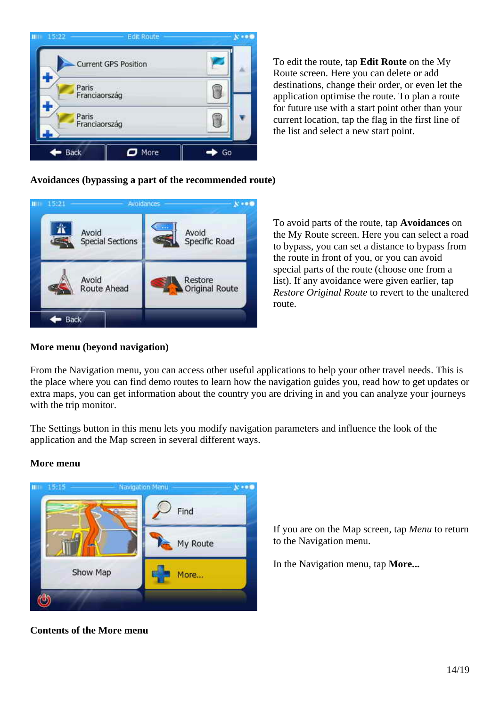

To edit the route, tap **Edit Route** on the My Route screen. Here you can delete or add destinations, change their order, or even let the application optimise the route. To plan a route for future use with a start point other than your current location, tap the flag in the first line of the list and select a new start point.

## **Avoidances (bypassing a part of the recommended route)**



To avoid parts of the route, tap **Avoidances** on the My Route screen. Here you can select a road to bypass, you can set a distance to bypass from the route in front of you, or you can avoid special parts of the route (choose one from a list). If any avoidance were given earlier, tap *Restore Original Route* to revert to the unaltered route.

#### **More menu (beyond navigation)**

From the Navigation menu, you can access other useful applications to help your other travel needs. This is the place where you can find demo routes to learn how the navigation guides you, read how to get updates or extra maps, you can get information about the country you are driving in and you can analyze your journeys with the trip monitor.

The Settings button in this menu lets you modify navigation parameters and influence the look of the application and the Map screen in several different ways.

#### **More menu**



**Contents of the More menu**

If you are on the Map screen, tap *Menu* to return to the Navigation menu.

In the Navigation menu, tap **More...**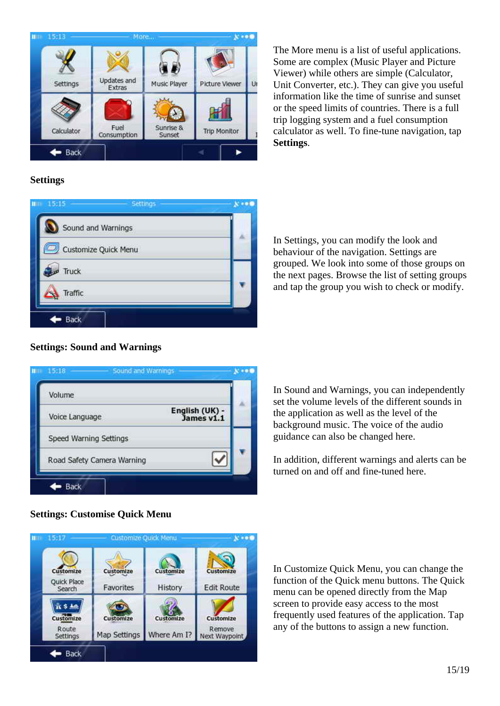

The More menu is a list of useful applications. Some are complex (Music Player and Picture Viewer) while others are simple (Calculator, Unit Converter, etc.). They can give you useful information like the time of sunrise and sunset or the speed limits of countries. There is a full trip logging system and a fuel consumption calculator as well. To fine-tune navigation, tap **Settings**.

## **Settings**



In Settings, you can modify the look and behaviour of the navigation. Settings are grouped. We look into some of those groups on the next pages. Browse the list of setting groups and tap the group you wish to check or modify.

#### **Settings: Sound and Warnings**



In Sound and Warnings, you can independently set the volume levels of the different sounds in the application as well as the level of the background music. The voice of the audio guidance can also be changed here.

In addition, different warnings and alerts can be turned on and off and fine-tuned here.



#### **Settings: Customise Quick Menu**

In Customize Quick Menu, you can change the function of the Quick menu buttons. The Quick menu can be opened directly from the Map screen to provide easy access to the most frequently used features of the application. Tap any of the buttons to assign a new function.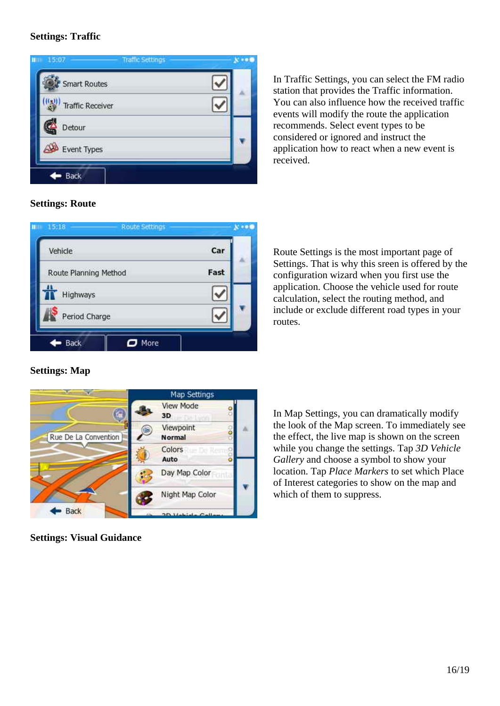#### **Settings: Traffic**



In Traffic Settings, you can select the FM radio station that provides the Traffic information. You can also influence how the received traffic events will modify the route the application recommends. Select event types to be considered or ignored and instruct the application how to react when a new event is received.

#### **Settings: Route**

| Vehicle               | Car  |
|-----------------------|------|
| Route Planning Method | Fast |
| Highways              |      |
| Period Charge         |      |

Route Settings is the most important page of Settings. That is why this sreen is offered by the configuration wizard when you first use the application. Choose the vehicle used for route calculation, select the routing method, and include or exclude different road types in your routes.

#### **Settings: Map**



**Settings: Visual Guidance**

In Map Settings, you can dramatically modify the look of the Map screen. To immediately see the effect, the live map is shown on the screen while you change the settings. Tap *3D Vehicle Gallery* and choose a symbol to show your location. Tap *Place Markers* to set which Place of Interest categories to show on the map and which of them to suppress.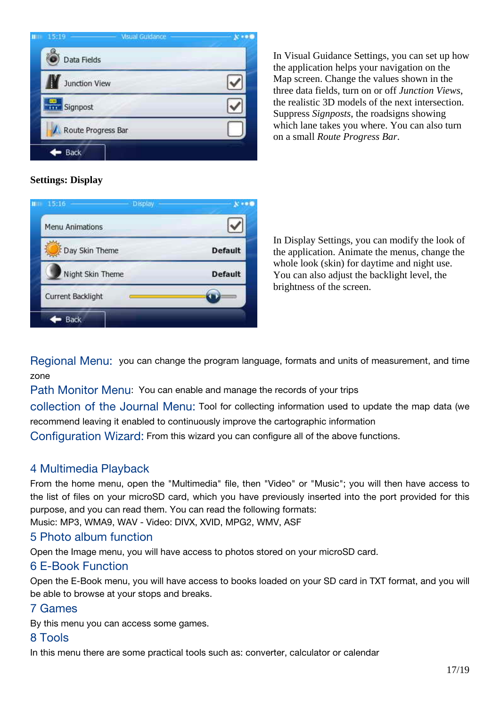

In Visual Guidance Settings, you can set up how the application helps your navigation on the Map screen. Change the values shown in the three data fields, turn on or off *Junction Views*, the realistic 3D models of the next intersection. Suppress *Signposts*, the roadsigns showing which lane takes you where. You can also turn on a small *Route Progress Bar*.

# **Settings: Display**

| 15.16             | <b>Display</b> |                |
|-------------------|----------------|----------------|
| Menu Animations   |                |                |
| Day Skin Theme    |                | <b>Default</b> |
| Night Skin Theme  |                | <b>Default</b> |
| Current Backlight |                |                |

In Display Settings, you can modify the look of the application. Animate the menus, change the whole look (skin) for daytime and night use. You can also adjust the backlight level, the brightness of the screen.

Regional Menu: you can change the program language, formats and units of measurement, and time zone

Path Monitor Menu: You can enable and manage the records of your trips

collection of the Journal Menu: Tool for collecting information used to update the map data (we recommend leaving it enabled to continuously improve the cartographic information

Configuration Wizard: From this wizard you can configure all of the above functions.

## 4 Multimedia Playback

From the home menu, open the "Multimedia" file, then "Video" or "Music"; you will then have access to the list of files on your microSD card, which you have previously inserted into the port provided for this purpose, and you can read them. You can read the following formats:

Music: MP3, WMA9, WAV - Video: DIVX, XVID, MPG2, WMV, ASF

## 5 Photo album function

Open the Image menu, you will have access to photos stored on your microSD card.

## 6 E-Book Function

Open the E-Book menu, you will have access to books loaded on your SD card in TXT format, and you will be able to browse at your stops and breaks.

## 7 Games

By this menu you can access some games.

## 8 Tools

In this menu there are some practical tools such as: converter, calculator or calendar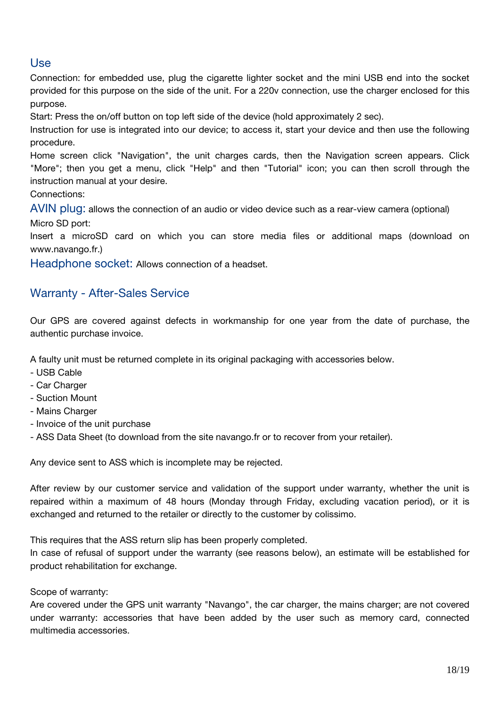# Use

Connection: for embedded use, plug the cigarette lighter socket and the mini USB end into the socket provided for this purpose on the side of the unit. For a 220v connection, use the charger enclosed for this purpose.

Start: Press the on/off button on top left side of the device (hold approximately 2 sec).

Instruction for use is integrated into our device; to access it, start your device and then use the following procedure.

Home screen click "Navigation", the unit charges cards, then the Navigation screen appears. Click "More"; then you get a menu, click "Help" and then "Tutorial" icon; you can then scroll through the instruction manual at your desire.

Connections:

AVIN plug: allows the connection of an audio or video device such as a rear-view camera (optional) Micro SD port:

Insert a microSD card on which you can store media files or additional maps (download on www.navango.fr.)

Headphone socket: Allows connection of a headset.

# Warranty - After-Sales Service

Our GPS are covered against defects in workmanship for one year from the date of purchase, the authentic purchase invoice.

A faulty unit must be returned complete in its original packaging with accessories below.

- USB Cable
- Car Charger
- Suction Mount
- Mains Charger
- Invoice of the unit purchase
- ASS Data Sheet (to download from the site navango.fr or to recover from your retailer).

Any device sent to ASS which is incomplete may be rejected.

After review by our customer service and validation of the support under warranty, whether the unit is repaired within a maximum of 48 hours (Monday through Friday, excluding vacation period), or it is exchanged and returned to the retailer or directly to the customer by colissimo.

This requires that the ASS return slip has been properly completed.

In case of refusal of support under the warranty (see reasons below), an estimate will be established for product rehabilitation for exchange.

Scope of warranty:

Are covered under the GPS unit warranty "Navango", the car charger, the mains charger; are not covered under warranty: accessories that have been added by the user such as memory card, connected multimedia accessories.